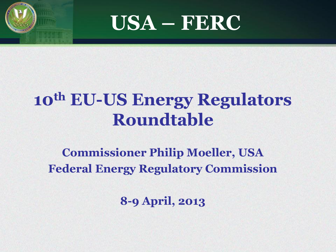



### **10th EU-US Energy Regulators Roundtable**

#### **Commissioner Philip Moeller, USA Federal Energy Regulatory Commission**

**8-9 April, 2013**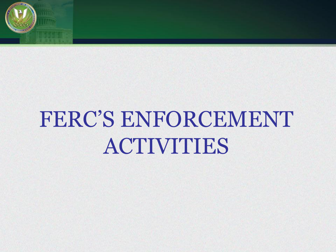

# FERC'S ENFORCEMENT ACTIVITIES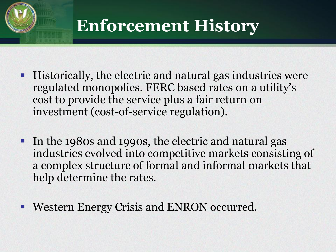

### **Enforcement History**

- Historically, the electric and natural gas industries were regulated monopolies. FERC based rates on a utility's cost to provide the service plus a fair return on investment (cost-of-service regulation).
- In the 1980s and 1990s, the electric and natural gas industries evolved into competitive markets consisting of a complex structure of formal and informal markets that help determine the rates.
- Western Energy Crisis and ENRON occurred.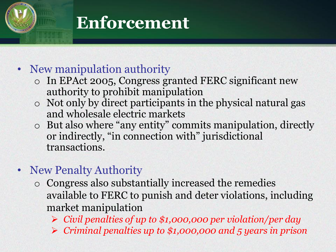### **Enforcement**

#### • New manipulation authority

- o In EPAct 2005, Congress granted FERC significant new authority to prohibit manipulation
- o Not only by direct participants in the physical natural gas and wholesale electric markets
- o But also where "any entity" commits manipulation, directly or indirectly, "in connection with" jurisdictional transactions.
- New Penalty Authority
	- o Congress also substantially increased the remedies available to FERC to punish and deter violations, including market manipulation
		- *Civil penalties of up to \$1,000,000 per violation/per day*
		- *Criminal penalties up to \$1,000,000 and 5 years in prison*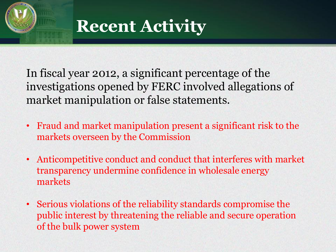

**Recent Activity**

In fiscal year 2012, a significant percentage of the investigations opened by FERC involved allegations of market manipulation or false statements.

- Fraud and market manipulation present a significant risk to the markets overseen by the Commission
- Anticompetitive conduct and conduct that interferes with market transparency undermine confidence in wholesale energy markets
- Serious violations of the reliability standards compromise the public interest by threatening the reliable and secure operation of the bulk power system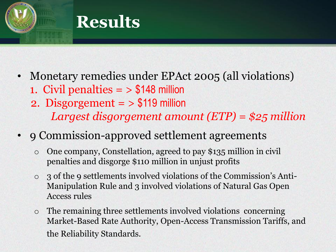

- Monetary remedies under EPAct 2005 (all violations) 1. Civil penalties  $=$  > \$148 million 2. Disgorgement = > \$119 million
	- *Largest disgorgement amount (ETP) = \$25 million*
- 9 Commission-approved settlement agreements
	- o One company, Constellation, agreed to pay \$135 million in civil penalties and disgorge \$110 million in unjust profits
	- o 3 of the 9 settlements involved violations of the Commission's Anti-Manipulation Rule and 3 involved violations of Natural Gas Open Access rules
	- o The remaining three settlements involved violations concerning Market-Based Rate Authority, Open-Access Transmission Tariffs, and the Reliability Standards.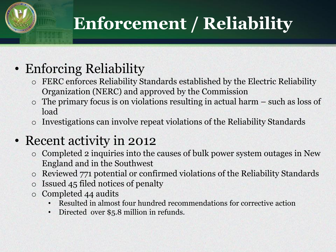# **Enforcement / Reliability**

### • Enforcing Reliability

- o FERC enforces Reliability Standards established by the Electric Reliability Organization (NERC) and approved by the Commission
- o The primary focus is on violations resulting in actual harm such as loss of load
- o Investigations can involve repeat violations of the Reliability Standards

#### • Recent activity in 2012

- o Completed 2 inquiries into the causes of bulk power system outages in New England and in the Southwest
- o Reviewed 771 potential or confirmed violations of the Reliability Standards
- Issued 45 filed notices of penalty
- o Completed 44 audits
	- Resulted in almost four hundred recommendations for corrective action
	- Directed over \$5.8 million in refunds.